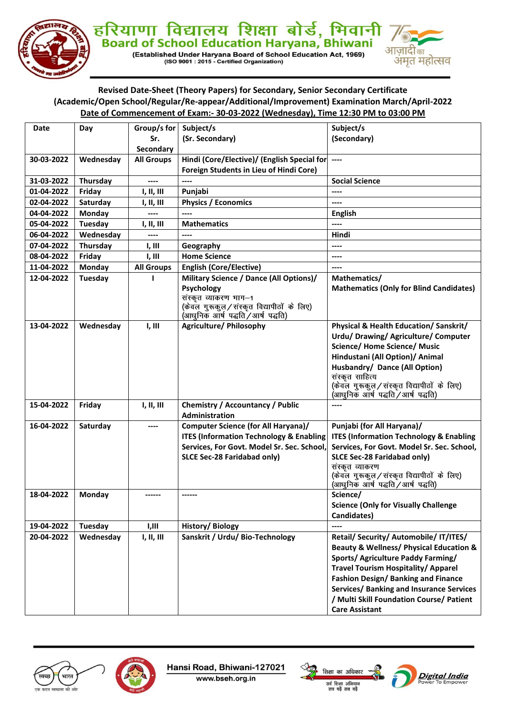

# हरियाणा विद्यालय शिक्षा बोर्ड, भिवानी<br>Board of School Education Haryana, Bhiwani

(Established Under Haryana Board of School Education Act, 1969)<br>(ISO 9001 : 2015 - Certified Organization)



## Revised Date-Sheet (Theory Papers) for Secondary, Senior Secondary Certificate (Academic/Open School/Regular/Re-appear/Additional/Improvement) Examination March/April-2022 Date of Commencement of Exam:- 30-03-2022 (Wednesday), Time 12:30 PM to 03:00 PM

| <b>Date</b> | Day       | Group/s for       | Subject/s                                           | Subject/s                                                                      |
|-------------|-----------|-------------------|-----------------------------------------------------|--------------------------------------------------------------------------------|
|             |           | Sr.               | (Sr. Secondary)                                     | (Secondary)                                                                    |
|             |           | Secondary         |                                                     |                                                                                |
| 30-03-2022  | Wednesday | <b>All Groups</b> | Hindi (Core/Elective)/ (English Special for         | $---$                                                                          |
|             |           |                   | Foreign Students in Lieu of Hindi Core)             |                                                                                |
| 31-03-2022  | Thursday  | ----              | ----                                                | <b>Social Science</b>                                                          |
| 01-04-2022  | Friday    | I, II, III        | Punjabi                                             | ----                                                                           |
| 02-04-2022  | Saturday  | I, II, III        | <b>Physics / Economics</b>                          | ----                                                                           |
| 04-04-2022  | Monday    |                   |                                                     | <b>English</b>                                                                 |
| 05-04-2022  | Tuesday   | I, II, III        | <b>Mathematics</b>                                  | ----                                                                           |
| 06-04-2022  | Wednesday |                   | ----                                                | Hindi                                                                          |
| 07-04-2022  | Thursday  | I, III            | Geography                                           | ----                                                                           |
| 08-04-2022  | Friday    | I, III            | <b>Home Science</b>                                 | ----                                                                           |
| 11-04-2022  | Monday    | <b>All Groups</b> | <b>English (Core/Elective)</b>                      | $---$                                                                          |
| 12-04-2022  | Tuesday   | 1                 | Military Science / Dance (All Options)/             | Mathematics/                                                                   |
|             |           |                   | Psychology                                          | <b>Mathematics (Only for Blind Candidates)</b>                                 |
|             |           |                   | संस्कृत व्याकरण भाग-1                               |                                                                                |
|             |           |                   | (केवल गुरूकुल/सस्कृत विद्यापीठों के लिए)            |                                                                                |
|             |           |                   | (आधुनिक आर्ष पद्धति / आर्ष पद्धति)                  |                                                                                |
| 13-04-2022  | Wednesday | I, III            | <b>Agriculture/ Philosophy</b>                      | Physical & Health Education/ Sanskrit/                                         |
|             |           |                   |                                                     | Urdu/ Drawing/ Agriculture/ Computer                                           |
|             |           |                   |                                                     | <b>Science/ Home Science/ Music</b>                                            |
|             |           |                   |                                                     | Hindustani (All Option)/ Animal                                                |
|             |           |                   |                                                     | Husbandry/ Dance (All Option)                                                  |
|             |           |                   |                                                     | संस्कृत साहित्य                                                                |
|             |           |                   |                                                     | (केवल गुरूकुल/सस्कृत विद्यापीठों के लिए)<br>(आधुनिक आर्ष पद्धति / आर्ष पद्धति) |
| 15-04-2022  | Friday    | I, II, III        | Chemistry / Accountancy / Public                    | $---$                                                                          |
|             |           |                   | <b>Administration</b>                               |                                                                                |
| 16-04-2022  | Saturday  | ----              | <b>Computer Science (for All Haryana)/</b>          | Punjabi (for All Haryana)/                                                     |
|             |           |                   | <b>ITES (Information Technology &amp; Enabling)</b> | <b>ITES (Information Technology &amp; Enabling</b>                             |
|             |           |                   | Services, For Govt. Model Sr. Sec. School,          | Services, For Govt. Model Sr. Sec. School,                                     |
|             |           |                   | SLCE Sec-28 Faridabad only)                         | SLCE Sec-28 Faridabad only)                                                    |
|             |           |                   |                                                     | संस्कृत व्याकरण                                                                |
|             |           |                   |                                                     | (केवल गुरूकुल/सस्कृत विद्यापीठों के लिए)                                       |
|             |           |                   |                                                     | (आधुनिक आर्ष पद्धति ⁄ आर्ष पद्धति)                                             |
| 18-04-2022  | Monday    | ------            | ------                                              | Science/                                                                       |
|             |           |                   |                                                     | <b>Science (Only for Visually Challenge</b>                                    |
|             |           |                   |                                                     | Candidates)                                                                    |
| 19-04-2022  | Tuesday   | I,III             | History/Biology                                     | ----                                                                           |
| 20-04-2022  | Wednesday | I, II, III        | Sanskrit / Urdu/ Bio-Technology                     | Retail/ Security/ Automobile/ IT/ITES/                                         |
|             |           |                   |                                                     | <b>Beauty &amp; Wellness/ Physical Education &amp;</b>                         |
|             |           |                   |                                                     | <b>Sports/ Agriculture Paddy Farming/</b>                                      |
|             |           |                   |                                                     | <b>Travel Tourism Hospitality/ Apparel</b>                                     |
|             |           |                   |                                                     | Fashion Design/ Banking and Finance                                            |
|             |           |                   |                                                     | Services/ Banking and Insurance Services                                       |
|             |           |                   |                                                     | / Multi Skill Foundation Course/ Patient                                       |
|             |           |                   |                                                     | <b>Care Assistant</b>                                                          |





Hansi Road, Bhiwani-127021

www.bseh.org.in